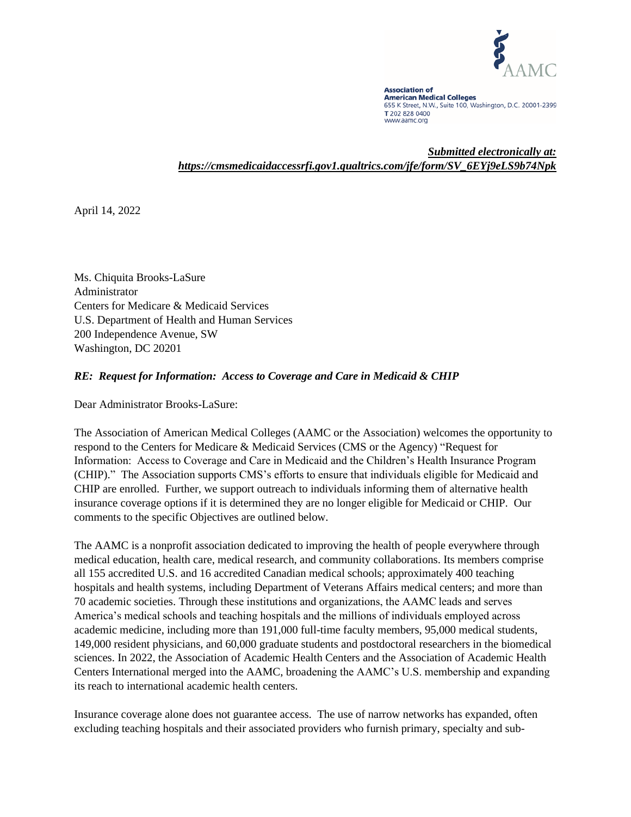

**Association of American Medical Colleges** 655 K Street, N.W., Suite 100, Washington, D.C. 20001-2399 T 202 828 0400 www.aamc.org

*Submitted electronically at: https://cmsmedicaidaccessrfi.gov1.qualtrics.com/jfe/form/SV\_6EYj9eLS9b74Npk*

April 14, 2022

Ms. Chiquita Brooks-LaSure Administrator Centers for Medicare & Medicaid Services U.S. Department of Health and Human Services 200 Independence Avenue, SW Washington, DC 20201

#### *RE: Request for Information: Access to Coverage and Care in Medicaid & CHIP*

Dear Administrator Brooks-LaSure:

The Association of American Medical Colleges (AAMC or the Association) welcomes the opportunity to respond to the Centers for Medicare & Medicaid Services (CMS or the Agency) "Request for Information: Access to Coverage and Care in Medicaid and the Children's Health Insurance Program (CHIP)." The Association supports CMS's efforts to ensure that individuals eligible for Medicaid and CHIP are enrolled. Further, we support outreach to individuals informing them of alternative health insurance coverage options if it is determined they are no longer eligible for Medicaid or CHIP. Our comments to the specific Objectives are outlined below.

The AAMC is a nonprofit association dedicated to improving the health of people everywhere through medical education, health care, medical research, and community collaborations. Its members comprise all 155 accredited U.S. and 16 accredited Canadian medical schools; approximately 400 teaching hospitals and health systems, including Department of Veterans Affairs medical centers; and more than 70 academic societies. Through these institutions and organizations, the AAMC leads and serves America's medical schools and teaching hospitals and the millions of individuals employed across academic medicine, including more than 191,000 full-time faculty members, 95,000 medical students, 149,000 resident physicians, and 60,000 graduate students and postdoctoral researchers in the biomedical sciences. In 2022, the Association of Academic Health Centers and the Association of Academic Health Centers International merged into the AAMC, broadening the AAMC's U.S. membership and expanding its reach to international academic health centers.

Insurance coverage alone does not guarantee access. The use of narrow networks has expanded, often excluding teaching hospitals and their associated providers who furnish primary, specialty and sub-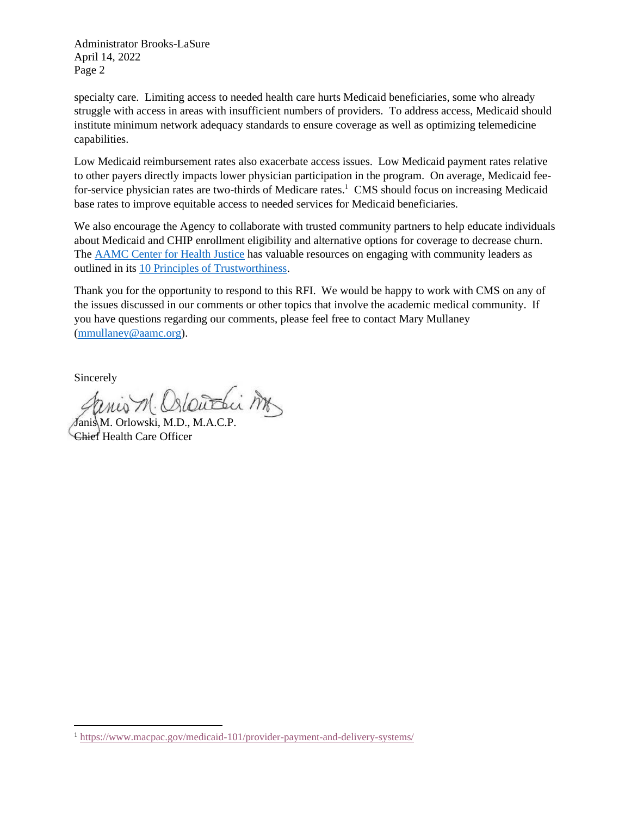specialty care. Limiting access to needed health care hurts Medicaid beneficiaries, some who already struggle with access in areas with insufficient numbers of providers. To address access, Medicaid should institute minimum network adequacy standards to ensure coverage as well as optimizing telemedicine capabilities.

Low Medicaid reimbursement rates also exacerbate access issues. Low Medicaid payment rates relative to other payers directly impacts lower physician participation in the program. On average, Medicaid feefor-service physician rates are two-thirds of Medicare rates.<sup>1</sup> CMS should focus on increasing Medicaid base rates to improve equitable access to needed services for Medicaid beneficiaries.

We also encourage the Agency to collaborate with trusted community partners to help educate individuals about Medicaid and CHIP enrollment eligibility and alternative options for coverage to decrease churn. The [AAMC Center for Health Justice](https://www.aamchealthjustice.org/) has valuable resources on engaging with community leaders as outlined in its [10 Principles of Trustworthiness.](https://www.aamchealthjustice.org/media/286/download)

Thank you for the opportunity to respond to this RFI. We would be happy to work with CMS on any of the issues discussed in our comments or other topics that involve the academic medical community. If you have questions regarding our comments, please feel free to contact Mary Mullaney [\(mmullaney@aamc.org\)](mailto:mmullaney@aamc.org).

Sincerely

nis M. Oslowthis Mr

Janis M. Orlowski, M.D., M.A.C.P. Chief Health Care Officer

<sup>1</sup> <https://www.macpac.gov/medicaid-101/provider-payment-and-delivery-systems/>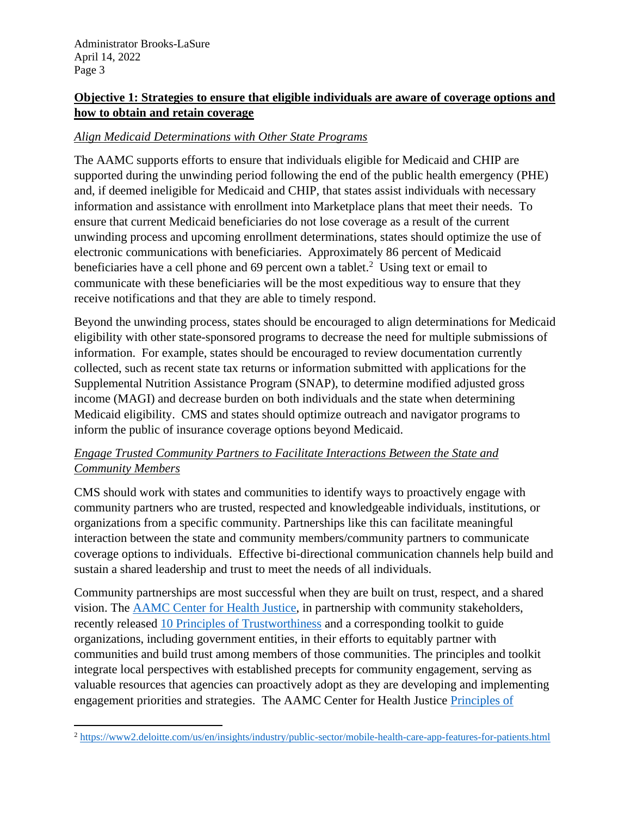# **Objective 1: Strategies to ensure that eligible individuals are aware of coverage options and how to obtain and retain coverage**

### *Align Medicaid Determinations with Other State Programs*

The AAMC supports efforts to ensure that individuals eligible for Medicaid and CHIP are supported during the unwinding period following the end of the public health emergency (PHE) and, if deemed ineligible for Medicaid and CHIP, that states assist individuals with necessary information and assistance with enrollment into Marketplace plans that meet their needs. To ensure that current Medicaid beneficiaries do not lose coverage as a result of the current unwinding process and upcoming enrollment determinations, states should optimize the use of electronic communications with beneficiaries. Approximately 86 percent of Medicaid beneficiaries have a cell phone and 69 percent own a tablet.<sup>2</sup> Using text or email to communicate with these beneficiaries will be the most expeditious way to ensure that they receive notifications and that they are able to timely respond.

Beyond the unwinding process, states should be encouraged to align determinations for Medicaid eligibility with other state-sponsored programs to decrease the need for multiple submissions of information. For example, states should be encouraged to review documentation currently collected, such as recent state tax returns or information submitted with applications for the Supplemental Nutrition Assistance Program (SNAP), to determine modified adjusted gross income (MAGI) and decrease burden on both individuals and the state when determining Medicaid eligibility. CMS and states should optimize outreach and navigator programs to inform the public of insurance coverage options beyond Medicaid.

# *Engage Trusted Community Partners to Facilitate Interactions Between the State and Community Members*

CMS should work with states and communities to identify ways to proactively engage with community partners who are trusted, respected and knowledgeable individuals, institutions, or organizations from a specific community. Partnerships like this can facilitate meaningful interaction between the state and community members/community partners to communicate coverage options to individuals. Effective bi-directional communication channels help build and sustain a shared leadership and trust to meet the needs of all individuals.

Community partnerships are most successful when they are built on trust, respect, and a shared vision. The [AAMC Center for Health Justice,](https://www.aamchealthjustice.org/) in partnership with community stakeholders, recently released [10 Principles of Trustworthiness](https://www.aamchealthjustice.org/resources/trustworthiness-toolkit#principles) and a corresponding toolkit to guide organizations, including government entities, in their efforts to equitably partner with communities and build trust among members of those communities. The principles and toolkit integrate local perspectives with established precepts for community engagement, serving as valuable resources that agencies can proactively adopt as they are developing and implementing engagement priorities and strategies. The AAMC Center for Health Justice [Principles of](https://www.aamchealthjustice.org/resources/trustworthiness-toolkit) 

<sup>2</sup> <https://www2.deloitte.com/us/en/insights/industry/public-sector/mobile-health-care-app-features-for-patients.html>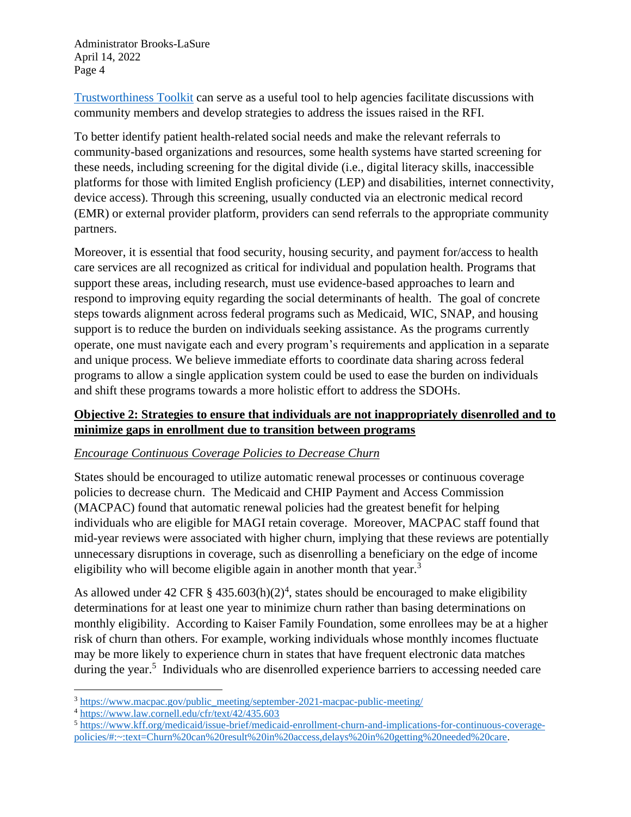[Trustworthiness Toolkit](https://www.aamchealthjustice.org/resources/trustworthiness-toolkit) can serve as a useful tool to help agencies facilitate discussions with community members and develop strategies to address the issues raised in the RFI.

To better identify patient health-related social needs and make the relevant referrals to community-based organizations and resources, some health systems have started screening for these needs, including screening for the digital divide (i.e., digital literacy skills, inaccessible platforms for those with limited English proficiency (LEP) and disabilities, internet connectivity, device access). Through this screening, usually conducted via an electronic medical record (EMR) or external provider platform, providers can send referrals to the appropriate community partners.

Moreover, it is essential that food security, housing security, and payment for/access to health care services are all recognized as critical for individual and population health. Programs that support these areas, including research, must use evidence-based approaches to learn and respond to improving equity regarding the social determinants of health. The goal of concrete steps towards alignment across federal programs such as Medicaid, WIC, SNAP, and housing support is to reduce the burden on individuals seeking assistance. As the programs currently operate, one must navigate each and every program's requirements and application in a separate and unique process. We believe immediate efforts to coordinate data sharing across federal programs to allow a single application system could be used to ease the burden on individuals and shift these programs towards a more holistic effort to address the SDOHs.

# **Objective 2: Strategies to ensure that individuals are not inappropriately disenrolled and to minimize gaps in enrollment due to transition between programs**

#### *Encourage Continuous Coverage Policies to Decrease Churn*

States should be encouraged to utilize automatic renewal processes or continuous coverage policies to decrease churn. The Medicaid and CHIP Payment and Access Commission (MACPAC) found that automatic renewal policies had the greatest benefit for helping individuals who are eligible for MAGI retain coverage. Moreover, MACPAC staff found that mid-year reviews were associated with higher churn, implying that these reviews are potentially unnecessary disruptions in coverage, such as disenrolling a beneficiary on the edge of income eligibility who will become eligible again in another month that year.<sup>3</sup>

As allowed under 42 CFR  $\S$  435.603(h)(2)<sup>4</sup>, states should be encouraged to make eligibility determinations for at least one year to minimize churn rather than basing determinations on monthly eligibility. According to Kaiser Family Foundation, some enrollees may be at a higher risk of churn than others. For example, working individuals whose monthly incomes fluctuate may be more likely to experience churn in states that have frequent electronic data matches during the year.<sup>5</sup> Individuals who are disenrolled experience barriers to accessing needed care

<sup>&</sup>lt;sup>3</sup> [https://www.macpac.gov/public\\_meeting/september-2021-macpac-public-meeting/](https://www.macpac.gov/public_meeting/september-2021-macpac-public-meeting/)

<sup>4</sup> <https://www.law.cornell.edu/cfr/text/42/435.603>

<sup>5</sup> [https://www.kff.org/medicaid/issue-brief/medicaid-enrollment-churn-and-implications-for-continuous-coverage](https://www.kff.org/medicaid/issue-brief/medicaid-enrollment-churn-and-implications-for-continuous-coverage-policies/#:~:text=Churn%20can%20result%20in%20access,delays%20in%20getting%20needed%20care)[policies/#:~:text=Churn%20can%20result%20in%20access,delays%20in%20getting%20needed%20care.](https://www.kff.org/medicaid/issue-brief/medicaid-enrollment-churn-and-implications-for-continuous-coverage-policies/#:~:text=Churn%20can%20result%20in%20access,delays%20in%20getting%20needed%20care)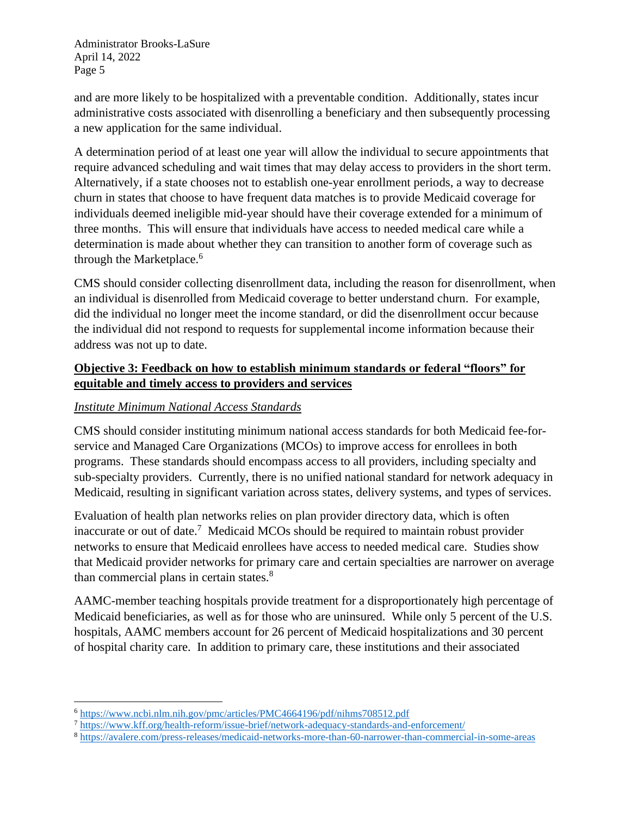and are more likely to be hospitalized with a preventable condition. Additionally, states incur administrative costs associated with disenrolling a beneficiary and then subsequently processing a new application for the same individual.

A determination period of at least one year will allow the individual to secure appointments that require advanced scheduling and wait times that may delay access to providers in the short term. Alternatively, if a state chooses not to establish one-year enrollment periods, a way to decrease churn in states that choose to have frequent data matches is to provide Medicaid coverage for individuals deemed ineligible mid-year should have their coverage extended for a minimum of three months. This will ensure that individuals have access to needed medical care while a determination is made about whether they can transition to another form of coverage such as through the Marketplace.<sup>6</sup>

CMS should consider collecting disenrollment data, including the reason for disenrollment, when an individual is disenrolled from Medicaid coverage to better understand churn. For example, did the individual no longer meet the income standard, or did the disenrollment occur because the individual did not respond to requests for supplemental income information because their address was not up to date.

# **Objective 3: Feedback on how to establish minimum standards or federal "floors" for equitable and timely access to providers and services**

# *Institute Minimum National Access Standards*

CMS should consider instituting minimum national access standards for both Medicaid fee-forservice and Managed Care Organizations (MCOs) to improve access for enrollees in both programs. These standards should encompass access to all providers, including specialty and sub-specialty providers. Currently, there is no unified national standard for network adequacy in Medicaid, resulting in significant variation across states, delivery systems, and types of services.

Evaluation of health plan networks relies on plan provider directory data, which is often inaccurate or out of date.<sup>7</sup> Medicaid MCOs should be required to maintain robust provider networks to ensure that Medicaid enrollees have access to needed medical care. Studies show that Medicaid provider networks for primary care and certain specialties are narrower on average than commercial plans in certain states. $8<sup>8</sup>$ 

AAMC-member teaching hospitals provide treatment for a disproportionately high percentage of Medicaid beneficiaries, as well as for those who are uninsured. While only 5 percent of the U.S. hospitals, AAMC members account for 26 percent of Medicaid hospitalizations and 30 percent of hospital charity care. In addition to primary care, these institutions and their associated

<sup>6</sup> <https://www.ncbi.nlm.nih.gov/pmc/articles/PMC4664196/pdf/nihms708512.pdf>

<sup>7</sup> <https://www.kff.org/health-reform/issue-brief/network-adequacy-standards-and-enforcement/>

<sup>8</sup> <https://avalere.com/press-releases/medicaid-networks-more-than-60-narrower-than-commercial-in-some-areas>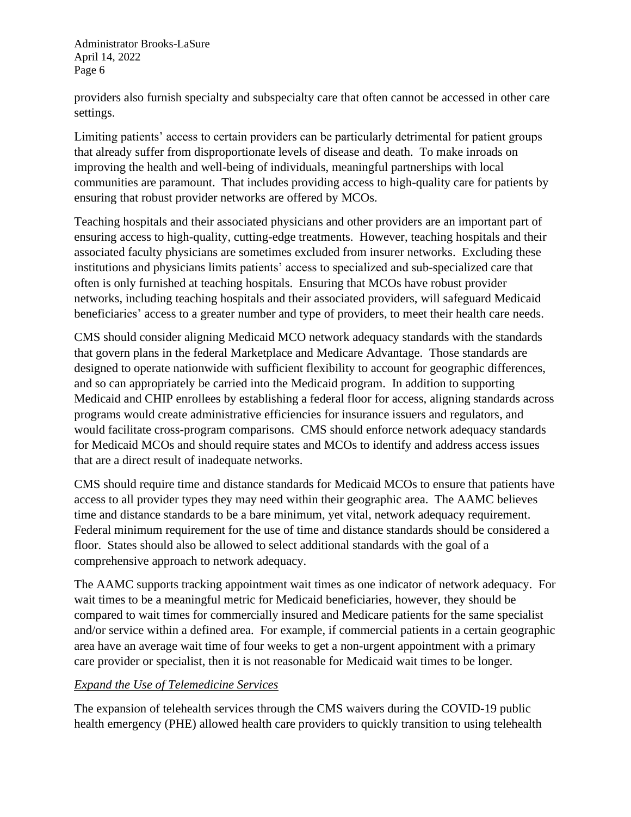providers also furnish specialty and subspecialty care that often cannot be accessed in other care settings.

Limiting patients' access to certain providers can be particularly detrimental for patient groups that already suffer from disproportionate levels of disease and death. To make inroads on improving the health and well-being of individuals, meaningful partnerships with local communities are paramount. That includes providing access to high-quality care for patients by ensuring that robust provider networks are offered by MCOs.

Teaching hospitals and their associated physicians and other providers are an important part of ensuring access to high-quality, cutting-edge treatments. However, teaching hospitals and their associated faculty physicians are sometimes excluded from insurer networks. Excluding these institutions and physicians limits patients' access to specialized and sub-specialized care that often is only furnished at teaching hospitals. Ensuring that MCOs have robust provider networks, including teaching hospitals and their associated providers, will safeguard Medicaid beneficiaries' access to a greater number and type of providers, to meet their health care needs.

CMS should consider aligning Medicaid MCO network adequacy standards with the standards that govern plans in the federal Marketplace and Medicare Advantage. Those standards are designed to operate nationwide with sufficient flexibility to account for geographic differences, and so can appropriately be carried into the Medicaid program. In addition to supporting Medicaid and CHIP enrollees by establishing a federal floor for access, aligning standards across programs would create administrative efficiencies for insurance issuers and regulators, and would facilitate cross-program comparisons. CMS should enforce network adequacy standards for Medicaid MCOs and should require states and MCOs to identify and address access issues that are a direct result of inadequate networks.

CMS should require time and distance standards for Medicaid MCOs to ensure that patients have access to all provider types they may need within their geographic area. The AAMC believes time and distance standards to be a bare minimum, yet vital, network adequacy requirement. Federal minimum requirement for the use of time and distance standards should be considered a floor. States should also be allowed to select additional standards with the goal of a comprehensive approach to network adequacy.

The AAMC supports tracking appointment wait times as one indicator of network adequacy. For wait times to be a meaningful metric for Medicaid beneficiaries, however, they should be compared to wait times for commercially insured and Medicare patients for the same specialist and/or service within a defined area. For example, if commercial patients in a certain geographic area have an average wait time of four weeks to get a non-urgent appointment with a primary care provider or specialist, then it is not reasonable for Medicaid wait times to be longer.

#### *Expand the Use of Telemedicine Services*

The expansion of telehealth services through the CMS waivers during the COVID-19 public health emergency (PHE) allowed health care providers to quickly transition to using telehealth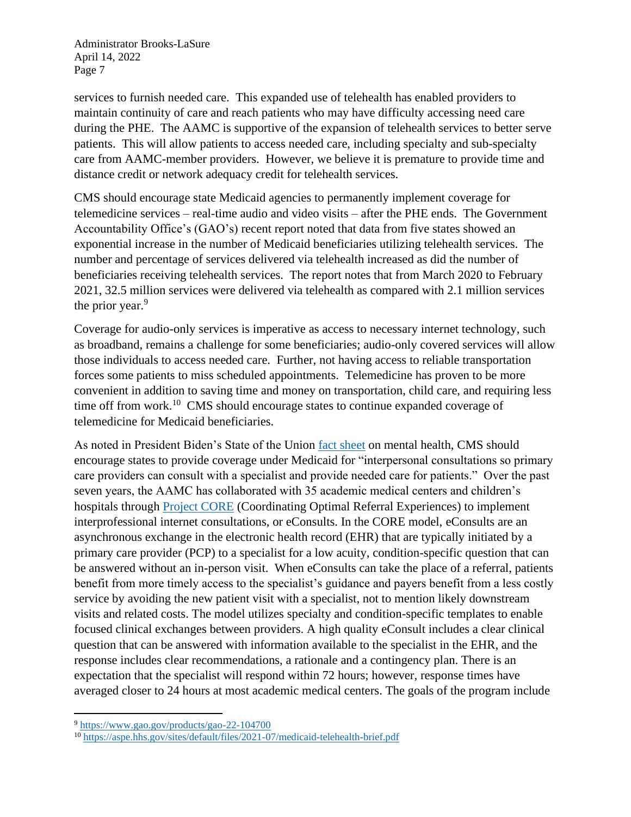services to furnish needed care. This expanded use of telehealth has enabled providers to maintain continuity of care and reach patients who may have difficulty accessing need care during the PHE. The AAMC is supportive of the expansion of telehealth services to better serve patients. This will allow patients to access needed care, including specialty and sub-specialty care from AAMC-member providers. However, we believe it is premature to provide time and distance credit or network adequacy credit for telehealth services.

CMS should encourage state Medicaid agencies to permanently implement coverage for telemedicine services – real-time audio and video visits – after the PHE ends. The Government Accountability Office's (GAO's) recent report noted that data from five states showed an exponential increase in the number of Medicaid beneficiaries utilizing telehealth services. The number and percentage of services delivered via telehealth increased as did the number of beneficiaries receiving telehealth services. The report notes that from March 2020 to February 2021, 32.5 million services were delivered via telehealth as compared with 2.1 million services the prior year. $9$ 

Coverage for audio-only services is imperative as access to necessary internet technology, such as broadband, remains a challenge for some beneficiaries; audio-only covered services will allow those individuals to access needed care. Further, not having access to reliable transportation forces some patients to miss scheduled appointments. Telemedicine has proven to be more convenient in addition to saving time and money on transportation, child care, and requiring less time off from work.<sup>10</sup> CMS should encourage states to continue expanded coverage of telemedicine for Medicaid beneficiaries.

As noted in President Biden's State of the Union [fact sheet](https://www.whitehouse.gov/briefing-room/statements-releases/2022/03/01/fact-sheet-president-biden-to-announce-strategy-to-address-our-national-mental-health-crisis-as-part-of-unity-agenda-in-his-first-state-of-the-union/) on mental health, CMS should encourage states to provide coverage under Medicaid for "interpersonal consultations so primary care providers can consult with a specialist and provide needed care for patients." Over the past seven years, the AAMC has collaborated with 35 academic medical centers and children's hospitals through [Project CORE](https://www.aamc.org/what-we-do/mission-areas/health-care/project-core) (Coordinating Optimal Referral Experiences) to implement interprofessional internet consultations, or eConsults. In the CORE model, eConsults are an asynchronous exchange in the electronic health record (EHR) that are typically initiated by a primary care provider (PCP) to a specialist for a low acuity, condition-specific question that can be answered without an in-person visit. When eConsults can take the place of a referral, patients benefit from more timely access to the specialist's guidance and payers benefit from a less costly service by avoiding the new patient visit with a specialist, not to mention likely downstream visits and related costs. The model utilizes specialty and condition-specific templates to enable focused clinical exchanges between providers. A high quality eConsult includes a clear clinical question that can be answered with information available to the specialist in the EHR, and the response includes clear recommendations, a rationale and a contingency plan. There is an expectation that the specialist will respond within 72 hours; however, response times have averaged closer to 24 hours at most academic medical centers. The goals of the program include

<sup>9</sup> <https://www.gao.gov/products/gao-22-104700>

<sup>10</sup> <https://aspe.hhs.gov/sites/default/files/2021-07/medicaid-telehealth-brief.pdf>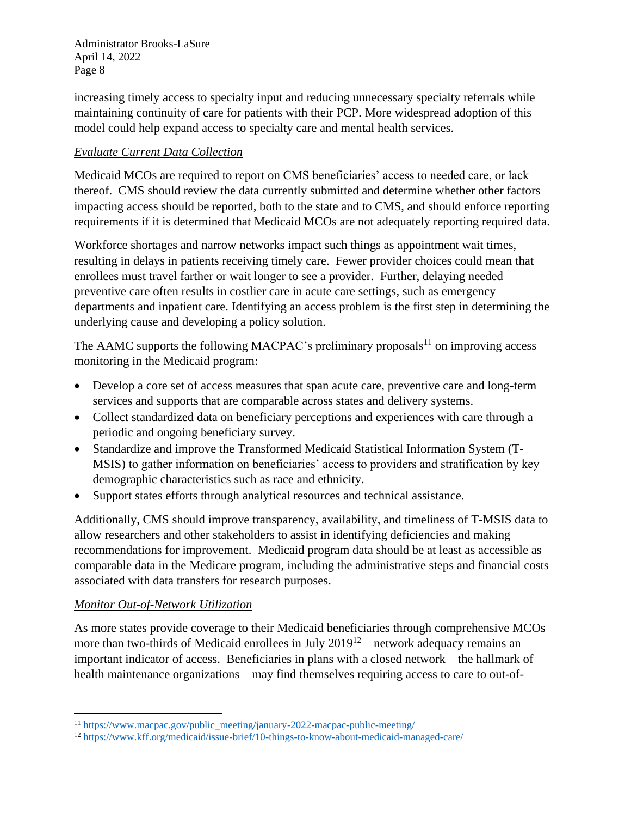increasing timely access to specialty input and reducing unnecessary specialty referrals while maintaining continuity of care for patients with their PCP. More widespread adoption of this model could help expand access to specialty care and mental health services.

# *Evaluate Current Data Collection*

Medicaid MCOs are required to report on CMS beneficiaries' access to needed care, or lack thereof. CMS should review the data currently submitted and determine whether other factors impacting access should be reported, both to the state and to CMS, and should enforce reporting requirements if it is determined that Medicaid MCOs are not adequately reporting required data.

Workforce shortages and narrow networks impact such things as appointment wait times, resulting in delays in patients receiving timely care. Fewer provider choices could mean that enrollees must travel farther or wait longer to see a provider. Further, delaying needed preventive care often results in costlier care in acute care settings, such as emergency departments and inpatient care. Identifying an access problem is the first step in determining the underlying cause and developing a policy solution.

The AAMC supports the following MACPAC's preliminary proposals<sup>11</sup> on improving access monitoring in the Medicaid program:

- Develop a core set of access measures that span acute care, preventive care and long-term services and supports that are comparable across states and delivery systems.
- Collect standardized data on beneficiary perceptions and experiences with care through a periodic and ongoing beneficiary survey.
- Standardize and improve the Transformed Medicaid Statistical Information System (T-MSIS) to gather information on beneficiaries' access to providers and stratification by key demographic characteristics such as race and ethnicity.
- Support states efforts through analytical resources and technical assistance.

Additionally, CMS should improve transparency, availability, and timeliness of T-MSIS data to allow researchers and other stakeholders to assist in identifying deficiencies and making recommendations for improvement. Medicaid program data should be at least as accessible as comparable data in the Medicare program, including the administrative steps and financial costs associated with data transfers for research purposes.

#### *Monitor Out-of-Network Utilization*

As more states provide coverage to their Medicaid beneficiaries through comprehensive MCOs – more than two-thirds of Medicaid enrollees in July  $2019^{12}$  – network adequacy remains an important indicator of access. Beneficiaries in plans with a closed network – the hallmark of health maintenance organizations – may find themselves requiring access to care to out-of-

<sup>&</sup>lt;sup>11</sup> [https://www.macpac.gov/public\\_meeting/january-2022-macpac-public-meeting/](https://www.macpac.gov/public_meeting/january-2022-macpac-public-meeting/)

<sup>12</sup> <https://www.kff.org/medicaid/issue-brief/10-things-to-know-about-medicaid-managed-care/>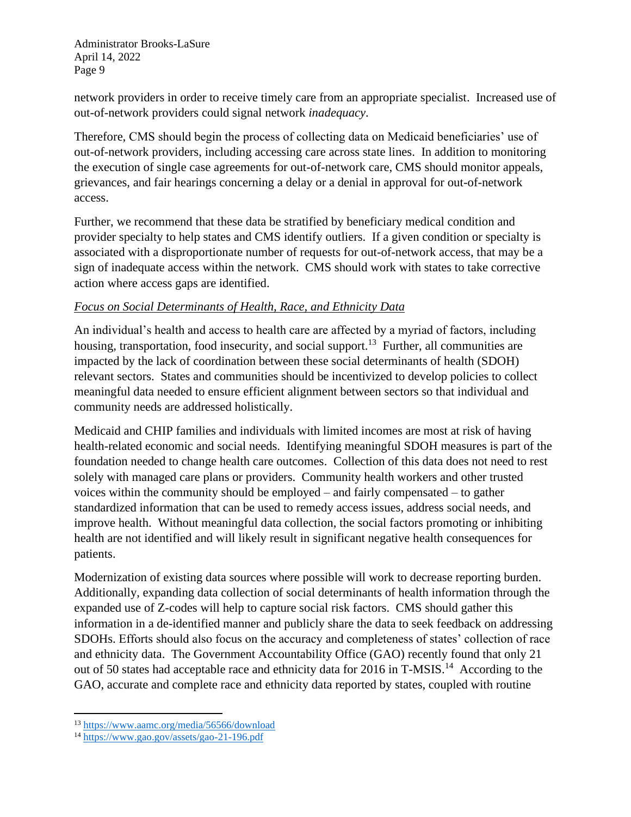network providers in order to receive timely care from an appropriate specialist. Increased use of out-of-network providers could signal network *inadequacy*.

Therefore, CMS should begin the process of collecting data on Medicaid beneficiaries' use of out-of-network providers, including accessing care across state lines. In addition to monitoring the execution of single case agreements for out-of-network care, CMS should monitor appeals, grievances, and fair hearings concerning a delay or a denial in approval for out-of-network access.

Further, we recommend that these data be stratified by beneficiary medical condition and provider specialty to help states and CMS identify outliers. If a given condition or specialty is associated with a disproportionate number of requests for out-of-network access, that may be a sign of inadequate access within the network. CMS should work with states to take corrective action where access gaps are identified.

# *Focus on Social Determinants of Health, Race, and Ethnicity Data*

An individual's health and access to health care are affected by a myriad of factors, including housing, transportation, food insecurity, and social support.<sup>13</sup> Further, all communities are impacted by the lack of coordination between these social determinants of health (SDOH) relevant sectors. States and communities should be incentivized to develop policies to collect meaningful data needed to ensure efficient alignment between sectors so that individual and community needs are addressed holistically.

Medicaid and CHIP families and individuals with limited incomes are most at risk of having health-related economic and social needs. Identifying meaningful SDOH measures is part of the foundation needed to change health care outcomes. Collection of this data does not need to rest solely with managed care plans or providers. Community health workers and other trusted voices within the community should be employed – and fairly compensated – to gather standardized information that can be used to remedy access issues, address social needs, and improve health. Without meaningful data collection, the social factors promoting or inhibiting health are not identified and will likely result in significant negative health consequences for patients.

Modernization of existing data sources where possible will work to decrease reporting burden. Additionally, expanding data collection of social determinants of health information through the expanded use of Z-codes will help to capture social risk factors. CMS should gather this information in a de-identified manner and publicly share the data to seek feedback on addressing SDOHs. Efforts should also focus on the accuracy and completeness of states' collection of race and ethnicity data. The Government Accountability Office (GAO) recently found that only 21 out of 50 states had acceptable race and ethnicity data for 2016 in T-MSIS.<sup>14</sup> According to the GAO, accurate and complete race and ethnicity data reported by states, coupled with routine

<sup>13</sup> <https://www.aamc.org/media/56566/download>

<sup>14</sup> <https://www.gao.gov/assets/gao-21-196.pdf>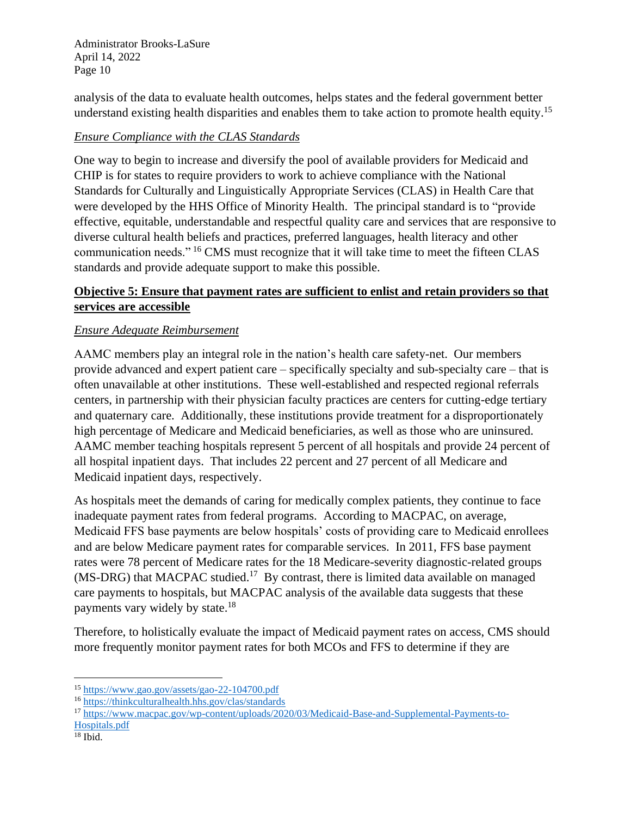analysis of the data to evaluate health outcomes, helps states and the federal government better understand existing health disparities and enables them to take action to promote health equity.<sup>15</sup>

### *Ensure Compliance with the CLAS Standards*

One way to begin to increase and diversify the pool of available providers for Medicaid and CHIP is for states to require providers to work to achieve compliance with the National Standards for Culturally and Linguistically Appropriate Services (CLAS) in Health Care that were developed by the HHS Office of Minority Health. The principal standard is to "provide effective, equitable, understandable and respectful quality care and services that are responsive to diverse cultural health beliefs and practices, preferred languages, health literacy and other communication needs." <sup>16</sup> CMS must recognize that it will take time to meet the fifteen CLAS standards and provide adequate support to make this possible.

# **Objective 5: Ensure that payment rates are sufficient to enlist and retain providers so that services are accessible**

# *Ensure Adequate Reimbursement*

AAMC members play an integral role in the nation's health care safety-net. Our members provide advanced and expert patient care – specifically specialty and sub-specialty care – that is often unavailable at other institutions. These well-established and respected regional referrals centers, in partnership with their physician faculty practices are centers for cutting-edge tertiary and quaternary care. Additionally, these institutions provide treatment for a disproportionately high percentage of Medicare and Medicaid beneficiaries, as well as those who are uninsured. AAMC member teaching hospitals represent 5 percent of all hospitals and provide 24 percent of all hospital inpatient days. That includes 22 percent and 27 percent of all Medicare and Medicaid inpatient days, respectively.

As hospitals meet the demands of caring for medically complex patients, they continue to face inadequate payment rates from federal programs. According to MACPAC, on average, Medicaid FFS base payments are below hospitals' costs of providing care to Medicaid enrollees and are below Medicare payment rates for comparable services. In 2011, FFS base payment rates were 78 percent of Medicare rates for the 18 Medicare-severity diagnostic-related groups  $(MS-DRG)$  that MACPAC studied.<sup>17</sup> By contrast, there is limited data available on managed care payments to hospitals, but MACPAC analysis of the available data suggests that these payments vary widely by state.<sup>18</sup>

Therefore, to holistically evaluate the impact of Medicaid payment rates on access, CMS should more frequently monitor payment rates for both MCOs and FFS to determine if they are

<sup>15</sup> <https://www.gao.gov/assets/gao-22-104700.pdf>

<sup>16</sup> <https://thinkculturalhealth.hhs.gov/clas/standards>

<sup>&</sup>lt;sup>17</sup> [https://www.macpac.gov/wp-content/uploads/2020/03/Medicaid-Base-and-Supplemental-Payments-to-](https://www.macpac.gov/wp-content/uploads/2020/03/Medicaid-Base-and-Supplemental-Payments-to-Hospitals.pdf)[Hospitals.pdf](https://www.macpac.gov/wp-content/uploads/2020/03/Medicaid-Base-and-Supplemental-Payments-to-Hospitals.pdf)

 $18$  Ibid.